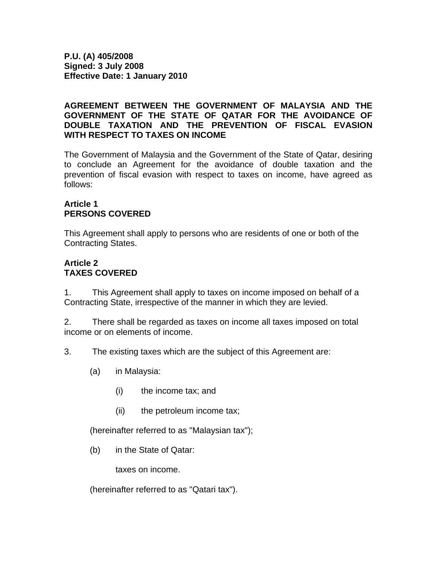**P.U. (A) 405/2008 Signed: 3 July 2008 Effective Date: 1 January 2010** 

#### **AGREEMENT BETWEEN THE GOVERNMENT OF MALAYSIA AND THE GOVERNMENT OF THE STATE OF QATAR FOR THE AVOIDANCE OF DOUBLE TAXATION AND THE PREVENTION OF FISCAL EVASION WITH RESPECT TO TAXES ON INCOME**

The Government of Malaysia and the Government of the State of Qatar, desiring to conclude an Agreement for the avoidance of double taxation and the prevention of fiscal evasion with respect to taxes on income, have agreed as follows:

#### **Article 1 PERSONS COVERED**

This Agreement shall apply to persons who are residents of one or both of the Contracting States.

### **Article 2 TAXES COVERED**

1. This Agreement shall apply to taxes on income imposed on behalf of a Contracting State, irrespective of the manner in which they are levied.

2. There shall be regarded as taxes on income all taxes imposed on total income or on elements of income.

3. The existing taxes which are the subject of this Agreement are:

- (a) in Malaysia:
	- (i) the income tax; and
	- (ii) the petroleum income tax;

(hereinafter referred to as "Malaysian tax");

(b) in the State of Qatar:

taxes on income.

(hereinafter referred to as "Qatari tax").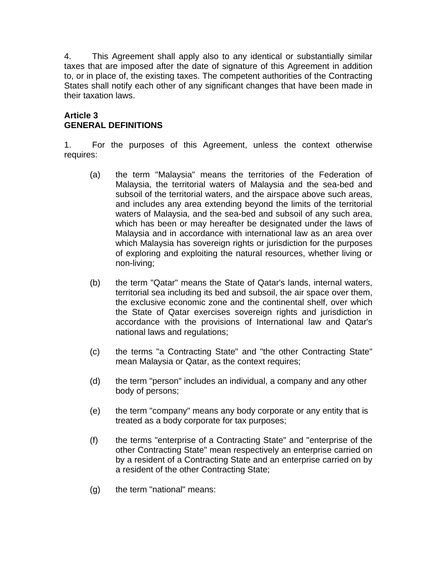4. This Agreement shall apply also to any identical or substantially similar taxes that are imposed after the date of signature of this Agreement in addition to, or in place of, the existing taxes. The competent authorities of the Contracting States shall notify each other of any significant changes that have been made in their taxation laws.

## **Article 3 GENERAL DEFINITIONS**

1. For the purposes of this Agreement, unless the context otherwise requires:

- (a) the term "Malaysia" means the territories of the Federation of Malaysia, the territorial waters of Malaysia and the sea-bed and subsoil of the territorial waters, and the airspace above such areas, and includes any area extending beyond the limits of the territorial waters of Malaysia, and the sea-bed and subsoil of any such area, which has been or may hereafter be designated under the laws of Malaysia and in accordance with international law as an area over which Malaysia has sovereign rights or jurisdiction for the purposes of exploring and exploiting the natural resources, whether living or non-living;
- (b) the term "Qatar" means the State of Qatar's lands, internal waters, territorial sea including its bed and subsoil, the air space over them, the exclusive economic zone and the continental shelf, over which the State of Qatar exercises sovereign rights and jurisdiction in accordance with the provisions of International law and Qatar's national laws and regulations;
- (c) the terms "a Contracting State" and "the other Contracting State" mean Malaysia or Qatar, as the context requires;
- (d) the term "person" includes an individual, a company and any other body of persons;
- (e) the term "company" means any body corporate or any entity that is treated as a body corporate for tax purposes;
- (f) the terms "enterprise of a Contracting State" and "enterprise of the other Contracting State" mean respectively an enterprise carried on by a resident of a Contracting State and an enterprise carried on by a resident of the other Contracting State;
- (g) the term "national" means: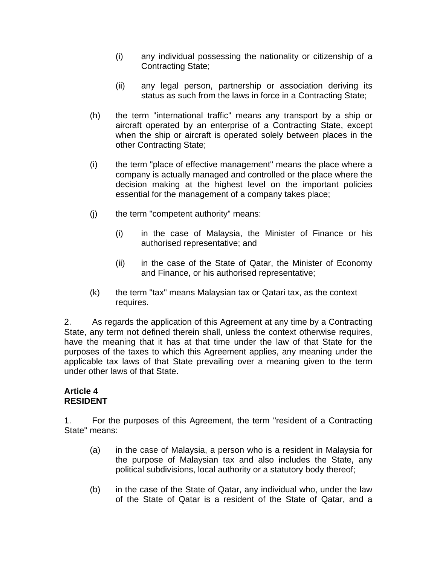- (i) any individual possessing the nationality or citizenship of a Contracting State;
- (ii) any legal person, partnership or association deriving its status as such from the laws in force in a Contracting State;
- (h) the term "international traffic" means any transport by a ship or aircraft operated by an enterprise of a Contracting State, except when the ship or aircraft is operated solely between places in the other Contracting State;
- (i) the term "place of effective management" means the place where a company is actually managed and controlled or the place where the decision making at the highest level on the important policies essential for the management of a company takes place;
- (j) the term "competent authority" means:
	- (i) in the case of Malaysia, the Minister of Finance or his authorised representative; and
	- (ii) in the case of the State of Qatar, the Minister of Economy and Finance, or his authorised representative;
- (k) the term "tax" means Malaysian tax or Qatari tax, as the context requires.

2. As regards the application of this Agreement at any time by a Contracting State, any term not defined therein shall, unless the context otherwise requires, have the meaning that it has at that time under the law of that State for the purposes of the taxes to which this Agreement applies, any meaning under the applicable tax laws of that State prevailing over a meaning given to the term under other laws of that State.

### **Article 4 RESIDENT**

1. For the purposes of this Agreement, the term "resident of a Contracting State" means:

- (a) in the case of Malaysia, a person who is a resident in Malaysia for the purpose of Malaysian tax and also includes the State, any political subdivisions, local authority or a statutory body thereof;
- (b) in the case of the State of Qatar, any individual who, under the law of the State of Qatar is a resident of the State of Qatar, and a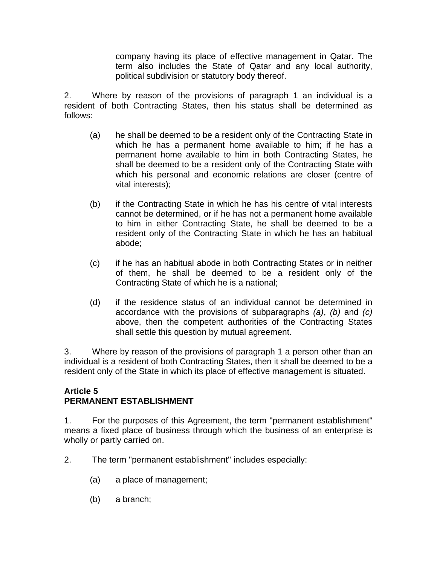company having its place of effective management in Qatar. The term also includes the State of Qatar and any local authority, political subdivision or statutory body thereof.

2. Where by reason of the provisions of paragraph 1 an individual is a resident of both Contracting States, then his status shall be determined as follows:

- (a) he shall be deemed to be a resident only of the Contracting State in which he has a permanent home available to him; if he has a permanent home available to him in both Contracting States, he shall be deemed to be a resident only of the Contracting State with which his personal and economic relations are closer (centre of vital interests);
- (b) if the Contracting State in which he has his centre of vital interests cannot be determined, or if he has not a permanent home available to him in either Contracting State, he shall be deemed to be a resident only of the Contracting State in which he has an habitual abode;
- (c) if he has an habitual abode in both Contracting States or in neither of them, he shall be deemed to be a resident only of the Contracting State of which he is a national;
- (d) if the residence status of an individual cannot be determined in accordance with the provisions of subparagraphs *(a)*, *(b)* and *(c)*  above, then the competent authorities of the Contracting States shall settle this question by mutual agreement.

3. Where by reason of the provisions of paragraph 1 a person other than an individual is a resident of both Contracting States, then it shall be deemed to be a resident only of the State in which its place of effective management is situated.

### **Article 5 PERMANENT ESTABLISHMENT**

1. For the purposes of this Agreement, the term "permanent establishment" means a fixed place of business through which the business of an enterprise is wholly or partly carried on.

- 2. The term "permanent establishment" includes especially:
	- (a) a place of management;
	- (b) a branch;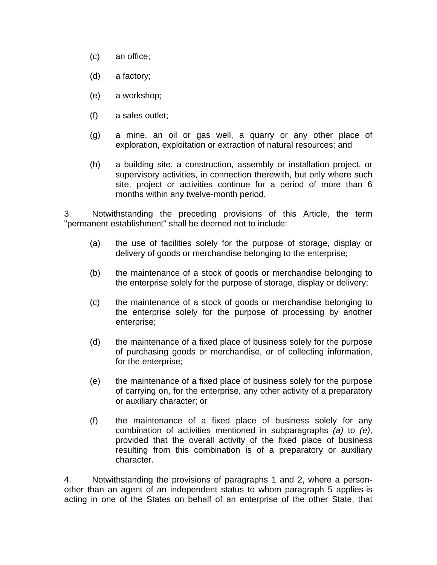- (c) an office;
- (d) a factory;
- (e) a workshop;
- (f) a sales outlet;
- (g) a mine, an oil or gas well, a quarry or any other place of exploration, exploitation or extraction of natural resources; and
- (h) a building site, a construction, assembly or installation project, or supervisory activities, in connection therewith, but only where such site, project or activities continue for a period of more than 6 months within any twelve-month period.

3. Notwithstanding the preceding provisions of this Article, the term "permanent establishment" shall be deemed not to include:

- (a) the use of facilities solely for the purpose of storage, display or delivery of goods or merchandise belonging to the enterprise;
- (b) the maintenance of a stock of goods or merchandise belonging to the enterprise solely for the purpose of storage, display or delivery;
- (c) the maintenance of a stock of goods or merchandise belonging to the enterprise solely for the purpose of processing by another enterprise;
- (d) the maintenance of a fixed place of business solely for the purpose of purchasing goods or merchandise, or of collecting information, for the enterprise;
- (e) the maintenance of a fixed place of business solely for the purpose of carrying on, for the enterprise, any other activity of a preparatory or auxiliary character; or
- (f) the maintenance of a fixed place of business solely for any combination of activities mentioned in subparagraphs *(a)* to *(e)*, provided that the overall activity of the fixed place of business resulting from this combination is of a preparatory or auxiliary character.

4. Notwithstanding the provisions of paragraphs 1 and 2, where a personother than an agent of an independent status to whom paragraph 5 applies-is acting in one of the States on behalf of an enterprise of the other State, that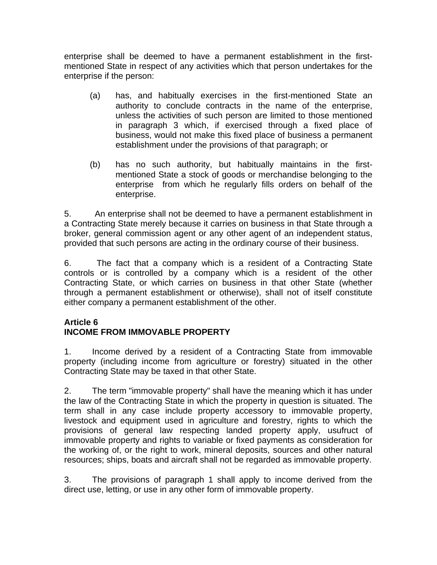enterprise shall be deemed to have a permanent establishment in the firstmentioned State in respect of any activities which that person undertakes for the enterprise if the person:

- (a) has, and habitually exercises in the first-mentioned State an authority to conclude contracts in the name of the enterprise, unless the activities of such person are limited to those mentioned in paragraph 3 which, if exercised through a fixed place of business, would not make this fixed place of business a permanent establishment under the provisions of that paragraph; or
- (b) has no such authority, but habitually maintains in the firstmentioned State a stock of goods or merchandise belonging to the enterprise from which he regularly fills orders on behalf of the enterprise.

5. An enterprise shall not be deemed to have a permanent establishment in a Contracting State merely because it carries on business in that State through a broker, general commission agent or any other agent of an independent status, provided that such persons are acting in the ordinary course of their business.

6. The fact that a company which is a resident of a Contracting State controls or is controlled by a company which is a resident of the other Contracting State, or which carries on business in that other State (whether through a permanent establishment or otherwise), shall not of itself constitute either company a permanent establishment of the other.

### **Article 6 INCOME FROM IMMOVABLE PROPERTY**

1. Income derived by a resident of a Contracting State from immovable property (including income from agriculture or forestry) situated in the other Contracting State may be taxed in that other State.

2. The term "immovable property" shall have the meaning which it has under the law of the Contracting State in which the property in question is situated. The term shall in any case include property accessory to immovable property, livestock and equipment used in agriculture and forestry, rights to which the provisions of general law respecting landed property apply, usufruct of immovable property and rights to variable or fixed payments as consideration for the working of, or the right to work, mineral deposits, sources and other natural resources; ships, boats and aircraft shall not be regarded as immovable property.

3. The provisions of paragraph 1 shall apply to income derived from the direct use, letting, or use in any other form of immovable property.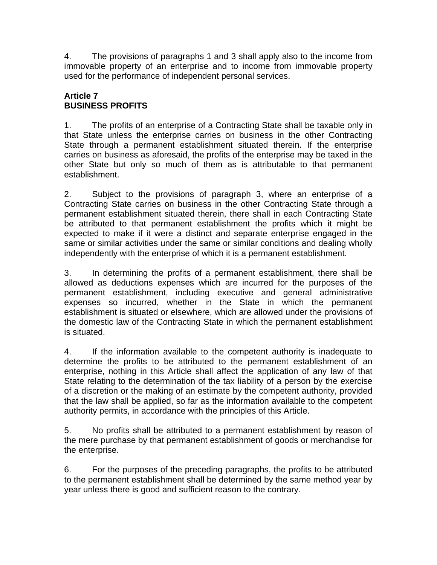4. The provisions of paragraphs 1 and 3 shall apply also to the income from immovable property of an enterprise and to income from immovable property used for the performance of independent personal services.

## **Article 7 BUSINESS PROFITS**

1. The profits of an enterprise of a Contracting State shall be taxable only in that State unless the enterprise carries on business in the other Contracting State through a permanent establishment situated therein. If the enterprise carries on business as aforesaid, the profits of the enterprise may be taxed in the other State but only so much of them as is attributable to that permanent establishment.

2. Subject to the provisions of paragraph 3, where an enterprise of a Contracting State carries on business in the other Contracting State through a permanent establishment situated therein, there shall in each Contracting State be attributed to that permanent establishment the profits which it might be expected to make if it were a distinct and separate enterprise engaged in the same or similar activities under the same or similar conditions and dealing wholly independently with the enterprise of which it is a permanent establishment.

3. In determining the profits of a permanent establishment, there shall be allowed as deductions expenses which are incurred for the purposes of the permanent establishment, including executive and general administrative expenses so incurred, whether in the State in which the permanent establishment is situated or elsewhere, which are allowed under the provisions of the domestic law of the Contracting State in which the permanent establishment is situated.

4. If the information available to the competent authority is inadequate to determine the profits to be attributed to the permanent establishment of an enterprise, nothing in this Article shall affect the application of any law of that State relating to the determination of the tax liability of a person by the exercise of a discretion or the making of an estimate by the competent authority, provided that the law shall be applied, so far as the information available to the competent authority permits, in accordance with the principles of this Article.

5. No profits shall be attributed to a permanent establishment by reason of the mere purchase by that permanent establishment of goods or merchandise for the enterprise.

6. For the purposes of the preceding paragraphs, the profits to be attributed to the permanent establishment shall be determined by the same method year by year unless there is good and sufficient reason to the contrary.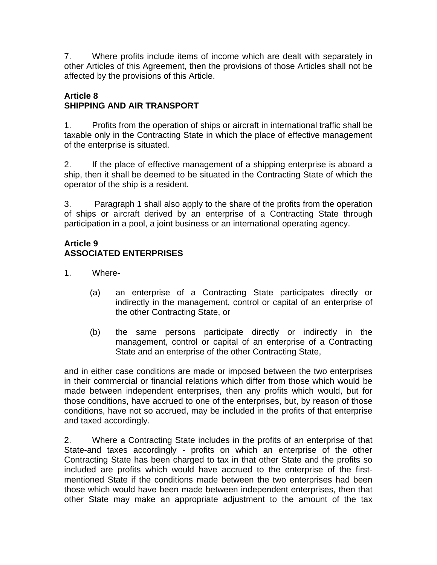7. Where profits include items of income which are dealt with separately in other Articles of this Agreement, then the provisions of those Articles shall not be affected by the provisions of this Article.

## **Article 8 SHIPPING AND AIR TRANSPORT**

1. Profits from the operation of ships or aircraft in international traffic shall be taxable only in the Contracting State in which the place of effective management of the enterprise is situated.

2. If the place of effective management of a shipping enterprise is aboard a ship, then it shall be deemed to be situated in the Contracting State of which the operator of the ship is a resident.

3. Paragraph 1 shall also apply to the share of the profits from the operation of ships or aircraft derived by an enterprise of a Contracting State through participation in a pool, a joint business or an international operating agency.

### **Article 9 ASSOCIATED ENTERPRISES**

- 1. Where-
	- (a) an enterprise of a Contracting State participates directly or indirectly in the management, control or capital of an enterprise of the other Contracting State, or
	- (b) the same persons participate directly or indirectly in the management, control or capital of an enterprise of a Contracting State and an enterprise of the other Contracting State,

and in either case conditions are made or imposed between the two enterprises in their commercial or financial relations which differ from those which would be made between independent enterprises, then any profits which would, but for those conditions, have accrued to one of the enterprises, but, by reason of those conditions, have not so accrued, may be included in the profits of that enterprise and taxed accordingly.

2. Where a Contracting State includes in the profits of an enterprise of that State-and taxes accordingly - profits on which an enterprise of the other Contracting State has been charged to tax in that other State and the profits so included are profits which would have accrued to the enterprise of the firstmentioned State if the conditions made between the two enterprises had been those which would have been made between independent enterprises, then that other State may make an appropriate adjustment to the amount of the tax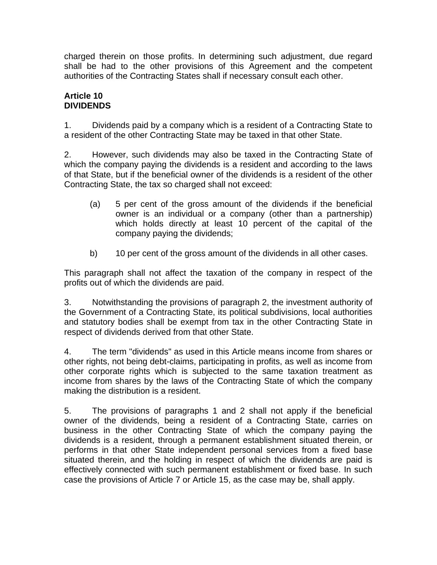charged therein on those profits. In determining such adjustment, due regard shall be had to the other provisions of this Agreement and the competent authorities of the Contracting States shall if necessary consult each other.

## **Article 10 DIVIDENDS**

1. Dividends paid by a company which is a resident of a Contracting State to a resident of the other Contracting State may be taxed in that other State.

2. However, such dividends may also be taxed in the Contracting State of which the company paying the dividends is a resident and according to the laws of that State, but if the beneficial owner of the dividends is a resident of the other Contracting State, the tax so charged shall not exceed:

- (a) 5 per cent of the gross amount of the dividends if the beneficial owner is an individual or a company (other than a partnership) which holds directly at least 10 percent of the capital of the company paying the dividends;
- b) 10 per cent of the gross amount of the dividends in all other cases.

This paragraph shall not affect the taxation of the company in respect of the profits out of which the dividends are paid.

3. Notwithstanding the provisions of paragraph 2, the investment authority of the Government of a Contracting State, its political subdivisions, local authorities and statutory bodies shall be exempt from tax in the other Contracting State in respect of dividends derived from that other State.

4. The term "dividends" as used in this Article means income from shares or other rights, not being debt-claims, participating in profits, as well as income from other corporate rights which is subjected to the same taxation treatment as income from shares by the laws of the Contracting State of which the company making the distribution is a resident.

5. The provisions of paragraphs 1 and 2 shall not apply if the beneficial owner of the dividends, being a resident of a Contracting State, carries on business in the other Contracting State of which the company paying the dividends is a resident, through a permanent establishment situated therein, or performs in that other State independent personal services from a fixed base situated therein, and the holding in respect of which the dividends are paid is effectively connected with such permanent establishment or fixed base. In such case the provisions of Article 7 or Article 15, as the case may be, shall apply.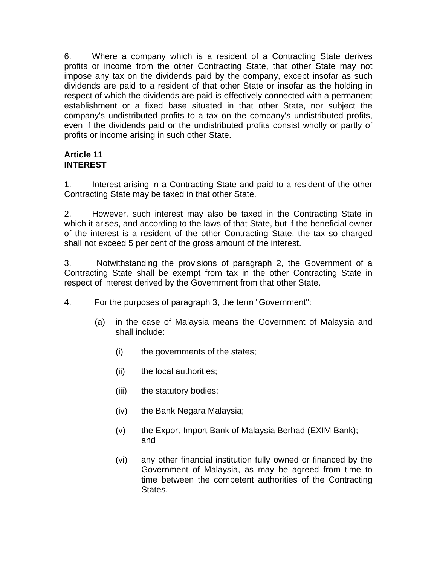6. Where a company which is a resident of a Contracting State derives profits or income from the other Contracting State, that other State may not impose any tax on the dividends paid by the company, except insofar as such dividends are paid to a resident of that other State or insofar as the holding in respect of which the dividends are paid is effectively connected with a permanent establishment or a fixed base situated in that other State, nor subject the company's undistributed profits to a tax on the company's undistributed profits, even if the dividends paid or the undistributed profits consist wholly or partly of profits or income arising in such other State.

## **Article 11 INTEREST**

1. Interest arising in a Contracting State and paid to a resident of the other Contracting State may be taxed in that other State.

2. However, such interest may also be taxed in the Contracting State in which it arises, and according to the laws of that State, but if the beneficial owner of the interest is a resident of the other Contracting State, the tax so charged shall not exceed 5 per cent of the gross amount of the interest.

3. Notwithstanding the provisions of paragraph 2, the Government of a Contracting State shall be exempt from tax in the other Contracting State in respect of interest derived by the Government from that other State.

- 4. For the purposes of paragraph 3, the term "Government":
	- (a) in the case of Malaysia means the Government of Malaysia and shall include:
		- (i) the governments of the states;
		- (ii) the local authorities;
		- (iii) the statutory bodies;
		- (iv) the Bank Negara Malaysia;
		- (v) the Export-Import Bank of Malaysia Berhad (EXIM Bank); and
		- (vi) any other financial institution fully owned or financed by the Government of Malaysia, as may be agreed from time to time between the competent authorities of the Contracting States.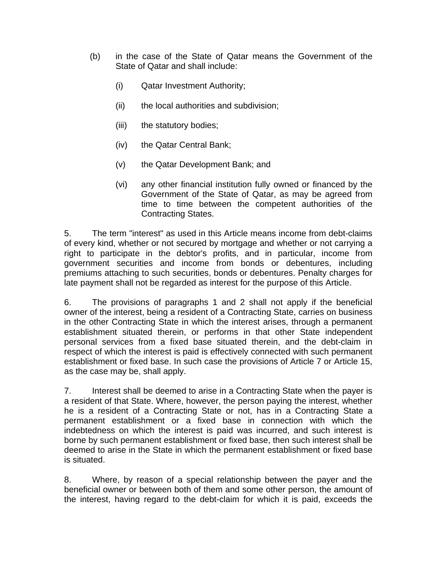- (b) in the case of the State of Qatar means the Government of the State of Qatar and shall include:
	- (i) Qatar Investment Authority;
	- (ii) the local authorities and subdivision;
	- (iii) the statutory bodies;
	- (iv) the Qatar Central Bank;
	- (v) the Qatar Development Bank; and
	- (vi) any other financial institution fully owned or financed by the Government of the State of Qatar, as may be agreed from time to time between the competent authorities of the Contracting States.

5. The term "interest" as used in this Article means income from debt-claims of every kind, whether or not secured by mortgage and whether or not carrying a right to participate in the debtor's profits, and in particular, income from government securities and income from bonds or debentures, including premiums attaching to such securities, bonds or debentures. Penalty charges for late payment shall not be regarded as interest for the purpose of this Article.

6. The provisions of paragraphs 1 and 2 shall not apply if the beneficial owner of the interest, being a resident of a Contracting State, carries on business in the other Contracting State in which the interest arises, through a permanent establishment situated therein, or performs in that other State independent personal services from a fixed base situated therein, and the debt-claim in respect of which the interest is paid is effectively connected with such permanent establishment or fixed base. In such case the provisions of Article 7 or Article 15, as the case may be, shall apply.

7. Interest shall be deemed to arise in a Contracting State when the payer is a resident of that State. Where, however, the person paying the interest, whether he is a resident of a Contracting State or not, has in a Contracting State a permanent establishment or a fixed base in connection with which the indebtedness on which the interest is paid was incurred, and such interest is borne by such permanent establishment or fixed base, then such interest shall be deemed to arise in the State in which the permanent establishment or fixed base is situated.

8. Where, by reason of a special relationship between the payer and the beneficial owner or between both of them and some other person, the amount of the interest, having regard to the debt-claim for which it is paid, exceeds the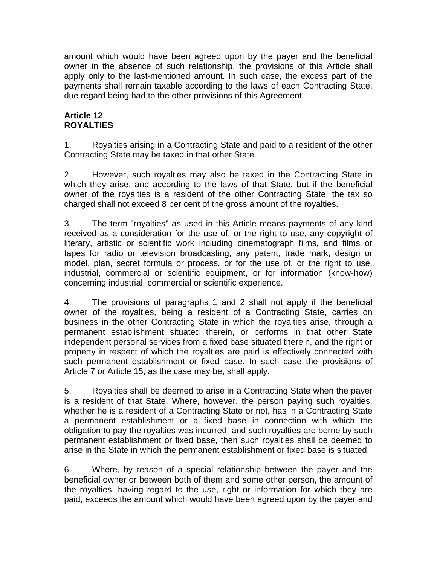amount which would have been agreed upon by the payer and the beneficial owner in the absence of such relationship, the provisions of this Article shall apply only to the last-mentioned amount. In such case, the excess part of the payments shall remain taxable according to the laws of each Contracting State, due regard being had to the other provisions of this Agreement.

## **Article 12 ROYALTIES**

1. Royalties arising in a Contracting State and paid to a resident of the other Contracting State may be taxed in that other State.

2. However, such royalties may also be taxed in the Contracting State in which they arise, and according to the laws of that State, but if the beneficial owner of the royalties is a resident of the other Contracting State, the tax so charged shall not exceed 8 per cent of the gross amount of the royalties.

3. The term "royalties" as used in this Article means payments of any kind received as a consideration for the use of, or the right to use, any copyright of literary, artistic or scientific work including cinematograph films, and films or tapes for radio or television broadcasting, any patent, trade mark, design or model, plan, secret formula or process, or for the use of, or the right to use, industrial, commercial or scientific equipment, or for information (know-how) concerning industrial, commercial or scientific experience.

4. The provisions of paragraphs 1 and 2 shall not apply if the beneficial owner of the royalties, being a resident of a Contracting State, carries on business in the other Contracting State in which the royalties arise, through a permanent establishment situated therein, or performs in that other State independent personal services from a fixed base situated therein, and the right or property in respect of which the royalties are paid is effectively connected with such permanent establishment or fixed base. In such case the provisions of Article 7 or Article 15, as the case may be, shall apply.

5. Royalties shall be deemed to arise in a Contracting State when the payer is a resident of that State. Where, however, the person paying such royalties, whether he is a resident of a Contracting State or not, has in a Contracting State a permanent establishment or a fixed base in connection with which the obligation to pay the royalties was incurred, and such royalties are borne by such permanent establishment or fixed base, then such royalties shall be deemed to arise in the State in which the permanent establishment or fixed base is situated.

6. Where, by reason of a special relationship between the payer and the beneficial owner or between both of them and some other person, the amount of the royalties, having regard to the use, right or information for which they are paid, exceeds the amount which would have been agreed upon by the payer and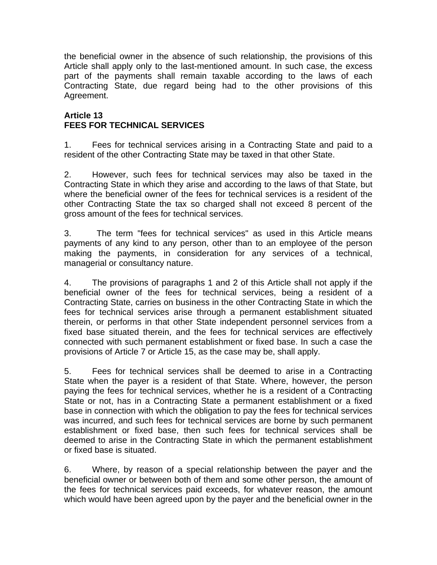the beneficial owner in the absence of such relationship, the provisions of this Article shall apply only to the last-mentioned amount. In such case, the excess part of the payments shall remain taxable according to the laws of each Contracting State, due regard being had to the other provisions of this Agreement.

## **Article 13 FEES FOR TECHNICAL SERVICES**

1. Fees for technical services arising in a Contracting State and paid to a resident of the other Contracting State may be taxed in that other State.

2. However, such fees for technical services may also be taxed in the Contracting State in which they arise and according to the laws of that State, but where the beneficial owner of the fees for technical services is a resident of the other Contracting State the tax so charged shall not exceed 8 percent of the gross amount of the fees for technical services.

3. The term "fees for technical services" as used in this Article means payments of any kind to any person, other than to an employee of the person making the payments, in consideration for any services of a technical, managerial or consultancy nature.

4. The provisions of paragraphs 1 and 2 of this Article shall not apply if the beneficial owner of the fees for technical services, being a resident of a Contracting State, carries on business in the other Contracting State in which the fees for technical services arise through a permanent establishment situated therein, or performs in that other State independent personnel services from a fixed base situated therein, and the fees for technical services are effectively connected with such permanent establishment or fixed base. In such a case the provisions of Article 7 or Article 15, as the case may be, shall apply.

5. Fees for technical services shall be deemed to arise in a Contracting State when the payer is a resident of that State. Where, however, the person paying the fees for technical services, whether he is a resident of a Contracting State or not, has in a Contracting State a permanent establishment or a fixed base in connection with which the obligation to pay the fees for technical services was incurred, and such fees for technical services are borne by such permanent establishment or fixed base, then such fees for technical services shall be deemed to arise in the Contracting State in which the permanent establishment or fixed base is situated.

6. Where, by reason of a special relationship between the payer and the beneficial owner or between both of them and some other person, the amount of the fees for technical services paid exceeds, for whatever reason, the amount which would have been agreed upon by the payer and the beneficial owner in the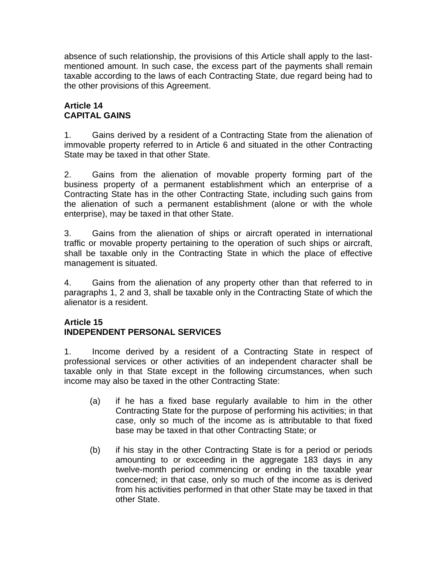absence of such relationship, the provisions of this Article shall apply to the lastmentioned amount. In such case, the excess part of the payments shall remain taxable according to the laws of each Contracting State, due regard being had to the other provisions of this Agreement.

### **Article 14 CAPITAL GAINS**

1. Gains derived by a resident of a Contracting State from the alienation of immovable property referred to in Article 6 and situated in the other Contracting State may be taxed in that other State.

2. Gains from the alienation of movable property forming part of the business property of a permanent establishment which an enterprise of a Contracting State has in the other Contracting State, including such gains from the alienation of such a permanent establishment (alone or with the whole enterprise), may be taxed in that other State.

3. Gains from the alienation of ships or aircraft operated in international traffic or movable property pertaining to the operation of such ships or aircraft, shall be taxable only in the Contracting State in which the place of effective management is situated.

4. Gains from the alienation of any property other than that referred to in paragraphs 1, 2 and 3, shall be taxable only in the Contracting State of which the alienator is a resident.

### **Article 15 INDEPENDENT PERSONAL SERVICES**

1. Income derived by a resident of a Contracting State in respect of professional services or other activities of an independent character shall be taxable only in that State except in the following circumstances, when such income may also be taxed in the other Contracting State:

- (a) if he has a fixed base regularly available to him in the other Contracting State for the purpose of performing his activities; in that case, only so much of the income as is attributable to that fixed base may be taxed in that other Contracting State; or
- (b) if his stay in the other Contracting State is for a period or periods amounting to or exceeding in the aggregate 183 days in any twelve-month period commencing or ending in the taxable year concerned; in that case, only so much of the income as is derived from his activities performed in that other State may be taxed in that other State.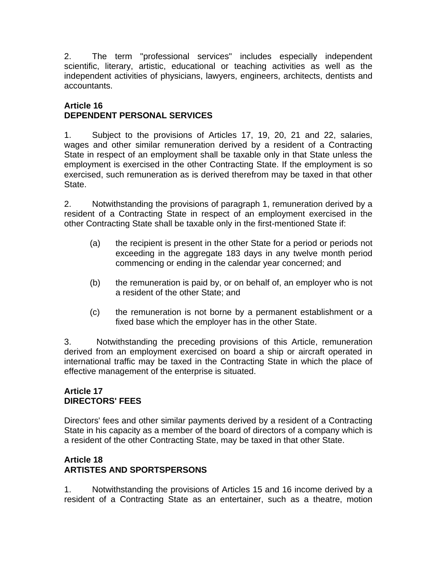2. The term "professional services" includes especially independent scientific, literary, artistic, educational or teaching activities as well as the independent activities of physicians, lawyers, engineers, architects, dentists and accountants.

## **Article 16 DEPENDENT PERSONAL SERVICES**

1. Subject to the provisions of Articles 17, 19, 20, 21 and 22, salaries, wages and other similar remuneration derived by a resident of a Contracting State in respect of an employment shall be taxable only in that State unless the employment is exercised in the other Contracting State. If the employment is so exercised, such remuneration as is derived therefrom may be taxed in that other State.

2. Notwithstanding the provisions of paragraph 1, remuneration derived by a resident of a Contracting State in respect of an employment exercised in the other Contracting State shall be taxable only in the first-mentioned State if:

- (a) the recipient is present in the other State for a period or periods not exceeding in the aggregate 183 days in any twelve month period commencing or ending in the calendar year concerned; and
- (b) the remuneration is paid by, or on behalf of, an employer who is not a resident of the other State; and
- (c) the remuneration is not borne by a permanent establishment or a fixed base which the employer has in the other State.

3. Notwithstanding the preceding provisions of this Article, remuneration derived from an employment exercised on board a ship or aircraft operated in international traffic may be taxed in the Contracting State in which the place of effective management of the enterprise is situated.

# **Article 17 DIRECTORS' FEES**

Directors' fees and other similar payments derived by a resident of a Contracting State in his capacity as a member of the board of directors of a company which is a resident of the other Contracting State, may be taxed in that other State.

# **Article 18 ARTISTES AND SPORTSPERSONS**

1. Notwithstanding the provisions of Articles 15 and 16 income derived by a resident of a Contracting State as an entertainer, such as a theatre, motion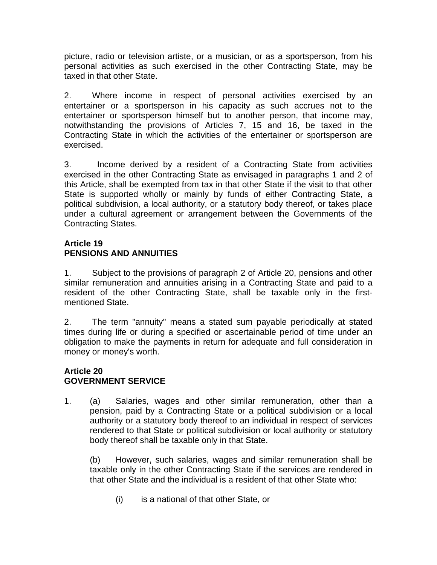picture, radio or television artiste, or a musician, or as a sportsperson, from his personal activities as such exercised in the other Contracting State, may be taxed in that other State.

2. Where income in respect of personal activities exercised by an entertainer or a sportsperson in his capacity as such accrues not to the entertainer or sportsperson himself but to another person, that income may, notwithstanding the provisions of Articles 7, 15 and 16, be taxed in the Contracting State in which the activities of the entertainer or sportsperson are exercised.

3. Income derived by a resident of a Contracting State from activities exercised in the other Contracting State as envisaged in paragraphs 1 and 2 of this Article, shall be exempted from tax in that other State if the visit to that other State is supported wholly or mainly by funds of either Contracting State, a political subdivision, a local authority, or a statutory body thereof, or takes place under a cultural agreement or arrangement between the Governments of the Contracting States.

## **Article 19 PENSIONS AND ANNUITIES**

1. Subject to the provisions of paragraph 2 of Article 20, pensions and other similar remuneration and annuities arising in a Contracting State and paid to a resident of the other Contracting State, shall be taxable only in the firstmentioned State.

2. The term "annuity" means a stated sum payable periodically at stated times during life or during a specified or ascertainable period of time under an obligation to make the payments in return for adequate and full consideration in money or money's worth.

### **Article 20 GOVERNMENT SERVICE**

1. (a) Salaries, wages and other similar remuneration, other than a pension, paid by a Contracting State or a political subdivision or a local authority or a statutory body thereof to an individual in respect of services rendered to that State or political subdivision or local authority or statutory body thereof shall be taxable only in that State.

(b) However, such salaries, wages and similar remuneration shall be taxable only in the other Contracting State if the services are rendered in that other State and the individual is a resident of that other State who:

(i) is a national of that other State, or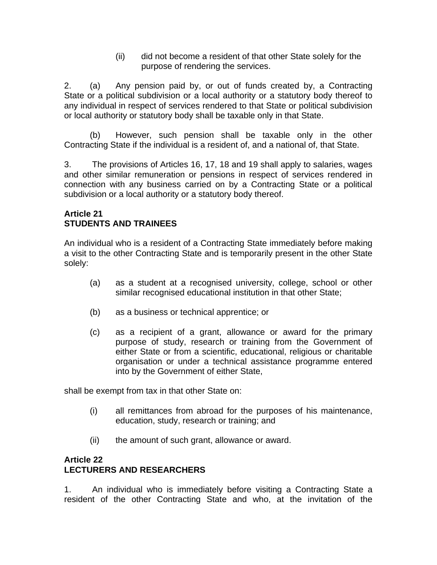(ii) did not become a resident of that other State solely for the purpose of rendering the services.

2. (a) Any pension paid by, or out of funds created by, a Contracting State or a political subdivision or a local authority or a statutory body thereof to any individual in respect of services rendered to that State or political subdivision or local authority or statutory body shall be taxable only in that State.

 (b) However, such pension shall be taxable only in the other Contracting State if the individual is a resident of, and a national of, that State.

3. The provisions of Articles 16, 17, 18 and 19 shall apply to salaries, wages and other similar remuneration or pensions in respect of services rendered in connection with any business carried on by a Contracting State or a political subdivision or a local authority or a statutory body thereof.

### **Article 21 STUDENTS AND TRAINEES**

An individual who is a resident of a Contracting State immediately before making a visit to the other Contracting State and is temporarily present in the other State solely:

- (a) as a student at a recognised university, college, school or other similar recognised educational institution in that other State;
- (b) as a business or technical apprentice; or
- (c) as a recipient of a grant, allowance or award for the primary purpose of study, research or training from the Government of either State or from a scientific, educational, religious or charitable organisation or under a technical assistance programme entered into by the Government of either State,

shall be exempt from tax in that other State on:

- (i) all remittances from abroad for the purposes of his maintenance, education, study, research or training; and
- (ii) the amount of such grant, allowance or award.

### **Article 22 LECTURERS AND RESEARCHERS**

1. An individual who is immediately before visiting a Contracting State a resident of the other Contracting State and who, at the invitation of the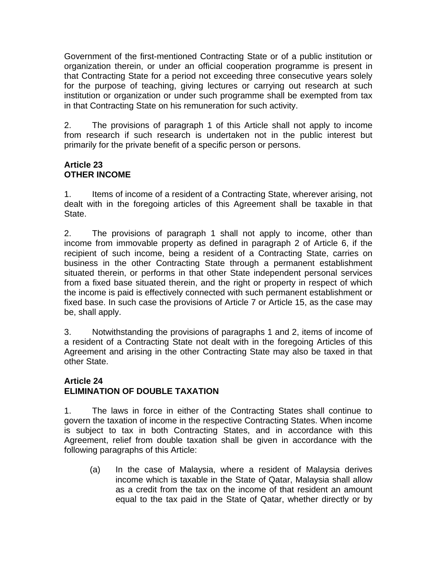Government of the first-mentioned Contracting State or of a public institution or organization therein, or under an official cooperation programme is present in that Contracting State for a period not exceeding three consecutive years solely for the purpose of teaching, giving lectures or carrying out research at such institution or organization or under such programme shall be exempted from tax in that Contracting State on his remuneration for such activity.

2. The provisions of paragraph 1 of this Article shall not apply to income from research if such research is undertaken not in the public interest but primarily for the private benefit of a specific person or persons.

## **Article 23 OTHER INCOME**

1. Items of income of a resident of a Contracting State, wherever arising, not dealt with in the foregoing articles of this Agreement shall be taxable in that State.

2. The provisions of paragraph 1 shall not apply to income, other than income from immovable property as defined in paragraph 2 of Article 6, if the recipient of such income, being a resident of a Contracting State, carries on business in the other Contracting State through a permanent establishment situated therein, or performs in that other State independent personal services from a fixed base situated therein, and the right or property in respect of which the income is paid is effectively connected with such permanent establishment or fixed base. In such case the provisions of Article 7 or Article 15, as the case may be, shall apply.

3. Notwithstanding the provisions of paragraphs 1 and 2, items of income of a resident of a Contracting State not dealt with in the foregoing Articles of this Agreement and arising in the other Contracting State may also be taxed in that other State.

### **Article 24 ELIMINATION OF DOUBLE TAXATION**

1. The laws in force in either of the Contracting States shall continue to govern the taxation of income in the respective Contracting States. When income is subject to tax in both Contracting States, and in accordance with this Agreement, relief from double taxation shall be given in accordance with the following paragraphs of this Article:

(a) In the case of Malaysia, where a resident of Malaysia derives income which is taxable in the State of Qatar, Malaysia shall allow as a credit from the tax on the income of that resident an amount equal to the tax paid in the State of Qatar, whether directly or by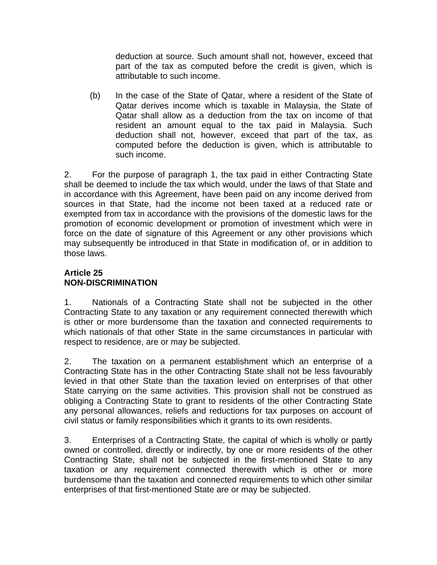deduction at source. Such amount shall not, however, exceed that part of the tax as computed before the credit is given, which is attributable to such income.

(b) In the case of the State of Qatar, where a resident of the State of Qatar derives income which is taxable in Malaysia, the State of Qatar shall allow as a deduction from the tax on income of that resident an amount equal to the tax paid in Malaysia. Such deduction shall not, however, exceed that part of the tax, as computed before the deduction is given, which is attributable to such income.

2. For the purpose of paragraph 1, the tax paid in either Contracting State shall be deemed to include the tax which would, under the laws of that State and in accordance with this Agreement, have been paid on any income derived from sources in that State, had the income not been taxed at a reduced rate or exempted from tax in accordance with the provisions of the domestic laws for the promotion of economic development or promotion of investment which were in force on the date of signature of this Agreement or any other provisions which may subsequently be introduced in that State in modification of, or in addition to those laws.

## **Article 25 NON-DISCRIMINATION**

1. Nationals of a Contracting State shall not be subjected in the other Contracting State to any taxation or any requirement connected therewith which is other or more burdensome than the taxation and connected requirements to which nationals of that other State in the same circumstances in particular with respect to residence, are or may be subjected.

2. The taxation on a permanent establishment which an enterprise of a Contracting State has in the other Contracting State shall not be less favourably levied in that other State than the taxation levied on enterprises of that other State carrying on the same activities. This provision shall not be construed as obliging a Contracting State to grant to residents of the other Contracting State any personal allowances, reliefs and reductions for tax purposes on account of civil status or family responsibilities which it grants to its own residents.

3. Enterprises of a Contracting State, the capital of which is wholly or partly owned or controlled, directly or indirectly, by one or more residents of the other Contracting State, shall not be subjected in the first-mentioned State to any taxation or any requirement connected therewith which is other or more burdensome than the taxation and connected requirements to which other similar enterprises of that first-mentioned State are or may be subjected.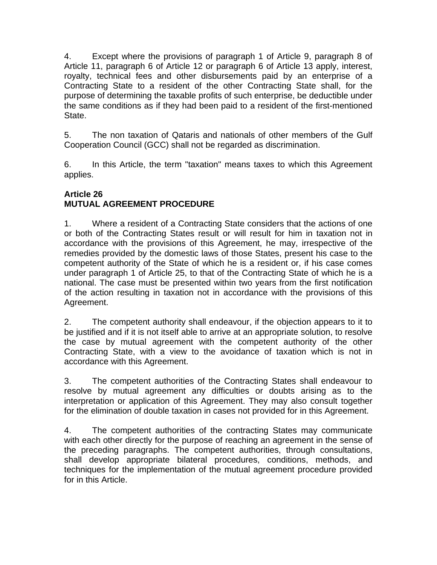4. Except where the provisions of paragraph 1 of Article 9, paragraph 8 of Article 11, paragraph 6 of Article 12 or paragraph 6 of Article 13 apply, interest, royalty, technical fees and other disbursements paid by an enterprise of a Contracting State to a resident of the other Contracting State shall, for the purpose of determining the taxable profits of such enterprise, be deductible under the same conditions as if they had been paid to a resident of the first-mentioned State.

5. The non taxation of Qataris and nationals of other members of the Gulf Cooperation Council (GCC) shall not be regarded as discrimination.

6. In this Article, the term "taxation" means taxes to which this Agreement applies.

## **Article 26 MUTUAL AGREEMENT PROCEDURE**

1. Where a resident of a Contracting State considers that the actions of one or both of the Contracting States result or will result for him in taxation not in accordance with the provisions of this Agreement, he may, irrespective of the remedies provided by the domestic laws of those States, present his case to the competent authority of the State of which he is a resident or, if his case comes under paragraph 1 of Article 25, to that of the Contracting State of which he is a national. The case must be presented within two years from the first notification of the action resulting in taxation not in accordance with the provisions of this Agreement.

2. The competent authority shall endeavour, if the objection appears to it to be justified and if it is not itself able to arrive at an appropriate solution, to resolve the case by mutual agreement with the competent authority of the other Contracting State, with a view to the avoidance of taxation which is not in accordance with this Agreement.

3. The competent authorities of the Contracting States shall endeavour to resolve by mutual agreement any difficulties or doubts arising as to the interpretation or application of this Agreement. They may also consult together for the elimination of double taxation in cases not provided for in this Agreement.

4. The competent authorities of the contracting States may communicate with each other directly for the purpose of reaching an agreement in the sense of the preceding paragraphs. The competent authorities, through consultations, shall develop appropriate bilateral procedures, conditions, methods, and techniques for the implementation of the mutual agreement procedure provided for in this Article.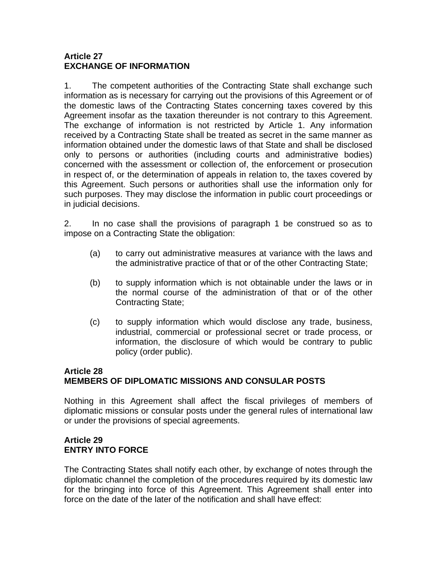#### **Article 27 EXCHANGE OF INFORMATION**

1. The competent authorities of the Contracting State shall exchange such information as is necessary for carrying out the provisions of this Agreement or of the domestic laws of the Contracting States concerning taxes covered by this Agreement insofar as the taxation thereunder is not contrary to this Agreement. The exchange of information is not restricted by Article 1. Any information received by a Contracting State shall be treated as secret in the same manner as information obtained under the domestic laws of that State and shall be disclosed only to persons or authorities (including courts and administrative bodies) concerned with the assessment or collection of, the enforcement or prosecution in respect of, or the determination of appeals in relation to, the taxes covered by this Agreement. Such persons or authorities shall use the information only for such purposes. They may disclose the information in public court proceedings or in judicial decisions.

2. In no case shall the provisions of paragraph 1 be construed so as to impose on a Contracting State the obligation:

- (a) to carry out administrative measures at variance with the laws and the administrative practice of that or of the other Contracting State;
- (b) to supply information which is not obtainable under the laws or in the normal course of the administration of that or of the other Contracting State;
- (c) to supply information which would disclose any trade, business, industrial, commercial or professional secret or trade process, or information, the disclosure of which would be contrary to public policy (order public).

### **Article 28 MEMBERS OF DIPLOMATIC MISSIONS AND CONSULAR POSTS**

Nothing in this Agreement shall affect the fiscal privileges of members of diplomatic missions or consular posts under the general rules of international law or under the provisions of special agreements.

## **Article 29 ENTRY INTO FORCE**

The Contracting States shall notify each other, by exchange of notes through the diplomatic channel the completion of the procedures required by its domestic law for the bringing into force of this Agreement. This Agreement shall enter into force on the date of the later of the notification and shall have effect: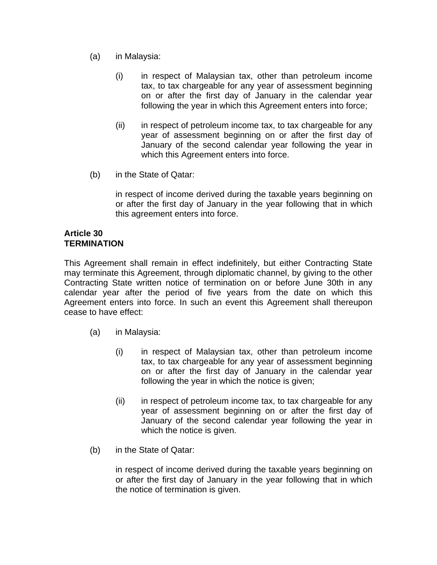- (a) in Malaysia:
	- (i) in respect of Malaysian tax, other than petroleum income tax, to tax chargeable for any year of assessment beginning on or after the first day of January in the calendar year following the year in which this Agreement enters into force;
	- (ii) in respect of petroleum income tax, to tax chargeable for any year of assessment beginning on or after the first day of January of the second calendar year following the year in which this Agreement enters into force.
- (b) in the State of Qatar:

in respect of income derived during the taxable years beginning on or after the first day of January in the year following that in which this agreement enters into force.

#### **Article 30 TERMINATION**

This Agreement shall remain in effect indefinitely, but either Contracting State may terminate this Agreement, through diplomatic channel, by giving to the other Contracting State written notice of termination on or before June 30th in any calendar year after the period of five years from the date on which this Agreement enters into force. In such an event this Agreement shall thereupon cease to have effect:

- (a) in Malaysia:
	- (i) in respect of Malaysian tax, other than petroleum income tax, to tax chargeable for any year of assessment beginning on or after the first day of January in the calendar year following the year in which the notice is given;
	- (ii) in respect of petroleum income tax, to tax chargeable for any year of assessment beginning on or after the first day of January of the second calendar year following the year in which the notice is given.
- (b) in the State of Qatar:

in respect of income derived during the taxable years beginning on or after the first day of January in the year following that in which the notice of termination is given.